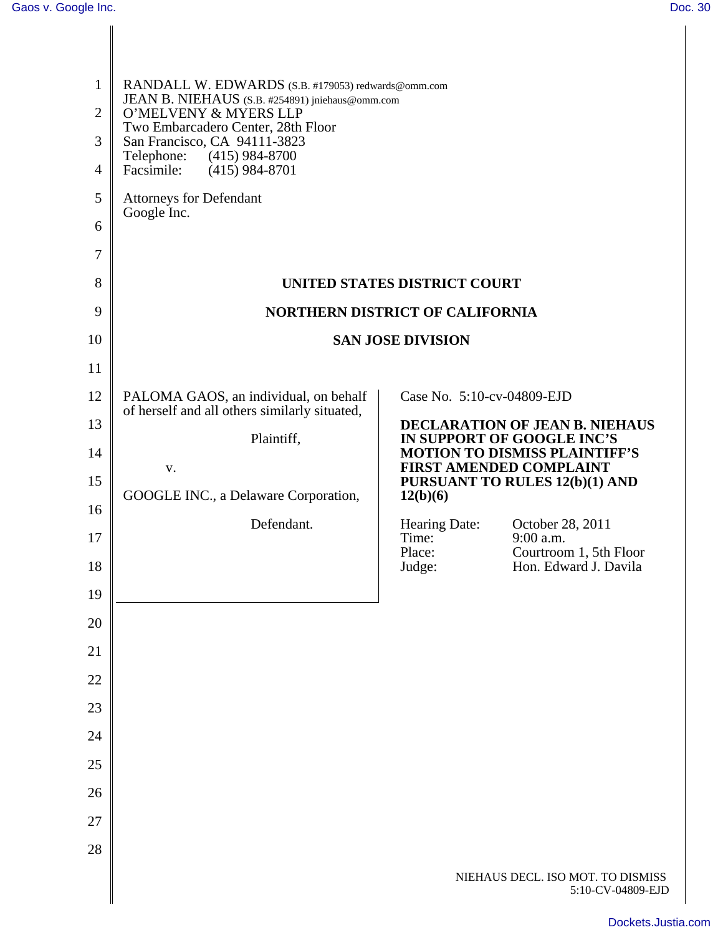| $\mathbf{1}$<br>$\overline{2}$<br>3<br>$\overline{4}$<br>5<br>6<br>7<br>8 | RANDALL W. EDWARDS (S.B. #179053) redwards@omm.com<br>JEAN B. NIEHAUS (S.B. #254891) jniehaus@omm.com<br>O'MELVENY & MYERS LLP<br>Two Embarcadero Center, 28th Floor<br>San Francisco, CA 94111-3823<br>Telephone:<br>$(415)$ 984-8700<br>Facsimile:<br>$(415)$ 984-8701<br><b>Attorneys for Defendant</b><br>Google Inc. |                                                                                                                                                                                             |                                                        |
|---------------------------------------------------------------------------|---------------------------------------------------------------------------------------------------------------------------------------------------------------------------------------------------------------------------------------------------------------------------------------------------------------------------|---------------------------------------------------------------------------------------------------------------------------------------------------------------------------------------------|--------------------------------------------------------|
| 9                                                                         | UNITED STATES DISTRICT COURT<br><b>NORTHERN DISTRICT OF CALIFORNIA</b>                                                                                                                                                                                                                                                    |                                                                                                                                                                                             |                                                        |
| 10                                                                        | <b>SAN JOSE DIVISION</b>                                                                                                                                                                                                                                                                                                  |                                                                                                                                                                                             |                                                        |
| 11                                                                        |                                                                                                                                                                                                                                                                                                                           |                                                                                                                                                                                             |                                                        |
| 12                                                                        | PALOMA GAOS, an individual, on behalf                                                                                                                                                                                                                                                                                     | Case No. 5:10-cv-04809-EJD                                                                                                                                                                  |                                                        |
| 13                                                                        | of herself and all others similarly situated,                                                                                                                                                                                                                                                                             | <b>DECLARATION OF JEAN B. NIEHAUS</b><br>IN SUPPORT OF GOOGLE INC'S<br><b>MOTION TO DISMISS PLAINTIFF'S</b><br><b>FIRST AMENDED COMPLAINT</b><br>PURSUANT TO RULES 12(b)(1) AND<br>12(b)(6) |                                                        |
| 14                                                                        | Plaintiff,                                                                                                                                                                                                                                                                                                                |                                                                                                                                                                                             |                                                        |
| 15                                                                        | V.<br>GOOGLE INC., a Delaware Corporation,                                                                                                                                                                                                                                                                                |                                                                                                                                                                                             |                                                        |
| 16                                                                        |                                                                                                                                                                                                                                                                                                                           |                                                                                                                                                                                             |                                                        |
| 17                                                                        | Defendant.                                                                                                                                                                                                                                                                                                                | Hearing Date:<br>Time:                                                                                                                                                                      | October 28, 2011<br>9:00 a.m.                          |
| 18                                                                        |                                                                                                                                                                                                                                                                                                                           | Place:<br>Judge:                                                                                                                                                                            | Courtroom 1, 5th Floor<br>Hon. Edward J. Davila        |
| 19                                                                        |                                                                                                                                                                                                                                                                                                                           |                                                                                                                                                                                             |                                                        |
| 20                                                                        |                                                                                                                                                                                                                                                                                                                           |                                                                                                                                                                                             |                                                        |
| 21                                                                        |                                                                                                                                                                                                                                                                                                                           |                                                                                                                                                                                             |                                                        |
| 22                                                                        |                                                                                                                                                                                                                                                                                                                           |                                                                                                                                                                                             |                                                        |
| 23                                                                        |                                                                                                                                                                                                                                                                                                                           |                                                                                                                                                                                             |                                                        |
| 24                                                                        |                                                                                                                                                                                                                                                                                                                           |                                                                                                                                                                                             |                                                        |
| 25                                                                        |                                                                                                                                                                                                                                                                                                                           |                                                                                                                                                                                             |                                                        |
| 26                                                                        |                                                                                                                                                                                                                                                                                                                           |                                                                                                                                                                                             |                                                        |
| 27                                                                        |                                                                                                                                                                                                                                                                                                                           |                                                                                                                                                                                             |                                                        |
| 28                                                                        |                                                                                                                                                                                                                                                                                                                           |                                                                                                                                                                                             |                                                        |
|                                                                           |                                                                                                                                                                                                                                                                                                                           |                                                                                                                                                                                             | NIEHAUS DECL. ISO MOT. TO DISMISS<br>5:10-CV-04809-EJD |